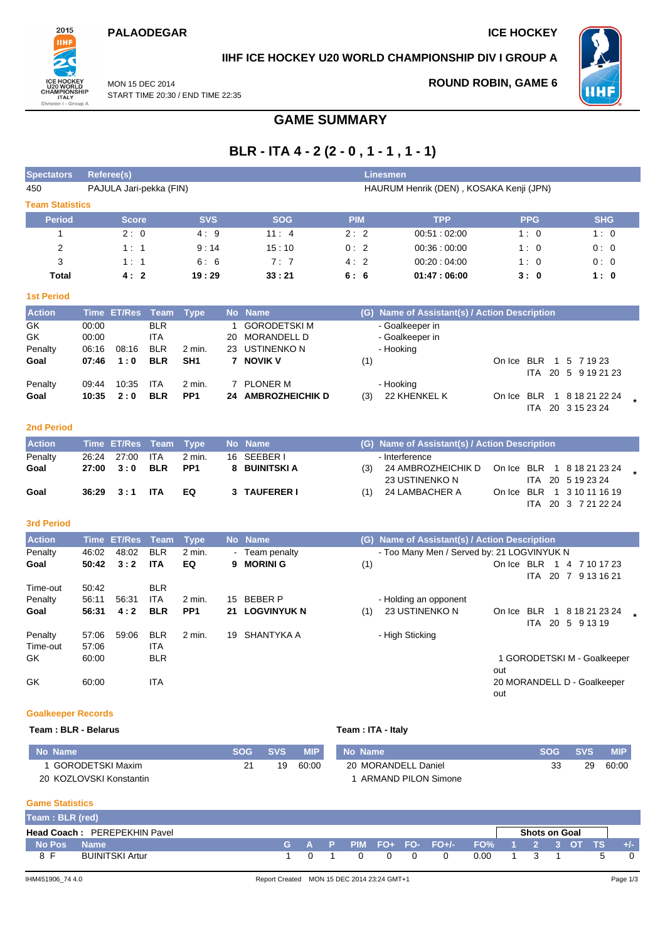### **PALAODEGAR ICE HOCKEY**



## **IIHF ICE HOCKEY U20 WORLD CHAMPIONSHIP DIV I GROUP A**

MON 15 DEC 2014 START TIME 20:30 / END TIME 22:35

## **ROUND ROBIN, GAME 6**



# **GAME SUMMARY**

# **BLR - ITA 4 - 2 (2 - 0 , 1 - 1 , 1 - 1)**

| <b>Spectators</b>      |             | Referee(s)<br><b>Linesmen</b> |             |                 |           |                        |            |     |                                           |        |                  |                 |  |
|------------------------|-------------|-------------------------------|-------------|-----------------|-----------|------------------------|------------|-----|-------------------------------------------|--------|------------------|-----------------|--|
| 450                    |             | PAJULA Jari-pekka (FIN)       |             |                 |           |                        |            |     | HAURUM Henrik (DEN), KOSAKA Kenji (JPN)   |        |                  |                 |  |
| <b>Team Statistics</b> |             |                               |             |                 |           |                        |            |     |                                           |        |                  |                 |  |
| <b>Period</b>          |             | <b>Score</b>                  |             | <b>SVS</b>      |           | <b>SOG</b>             | <b>PIM</b> |     | <b>TPP</b>                                |        | <b>PPG</b>       | <b>SHG</b>      |  |
|                        |             | 2:0                           |             | 4:9             |           | 11:4                   | 2:2        |     | 00:51:02:00                               |        | 1:0              | 1:0             |  |
| 2                      |             | 1:1                           |             | 9:14            |           | 15:10                  | 0:2        |     | 00.36:00.00                               |        | 1:0              | 0:0             |  |
| 3                      |             | 1:1                           |             | 6:6             |           | 7:7                    | 4:2        |     | 00:20:04:00                               |        | 1:0              | 0:0             |  |
| <b>Total</b>           |             | 4:2                           |             | 19:29           |           | 33:21                  | 6:6        |     | 01:47:06:00                               |        | 3:0              | 1:0             |  |
| <b>1st Period</b>      |             |                               |             |                 |           |                        |            |     |                                           |        |                  |                 |  |
| <b>Action</b>          | <b>Time</b> | <b>ET/Res</b>                 | <b>Team</b> | <b>Type</b>     | <b>No</b> | <b>Name</b>            |            | (G) | Name of Assistant(s) / Action Description |        |                  |                 |  |
| GK                     | 00:00       |                               | <b>BLR</b>  |                 |           | <b>GORODETSKIM</b>     |            |     | - Goalkeeper in                           |        |                  |                 |  |
| GK.                    | 00:00       |                               | ITA         |                 | 20        | <b>MORANDELL D</b>     |            |     | - Goalkeeper in                           |        |                  |                 |  |
| Penalty                | 06:16       | 08:16                         | <b>BLR</b>  | 2 min.          | 23        | <b>USTINENKON</b>      |            |     | - Hooking                                 |        |                  |                 |  |
| Goal                   | 07:46       | 1:0                           | <b>BLR</b>  | SH <sub>1</sub> |           | 7 NOVIK V              |            | (1) |                                           | On Ice | <b>BLR</b>       | 5 7 1 9 2 3     |  |
|                        |             |                               |             |                 |           |                        |            |     |                                           |        | <b>ITA</b><br>20 | 5<br>9 19 21 23 |  |
| Penalty                | 09:44       | 10:35                         | <b>ITA</b>  | 2 min.          |           | 7 PLONER M             |            |     | - Hooking                                 |        |                  |                 |  |
| Goal                   | 10:35       | 2:0                           | <b>BLR</b>  | PP <sub>1</sub> | 24        | <b>AMBROZHEICHIK D</b> |            | (3) | 22 KHENKEL K                              | On Ice | <b>BLR</b>       | 8 18 21 22 24   |  |
|                        |             |                               |             |                 |           |                        |            |     |                                           |        | 20<br><b>ITA</b> | 3 15 23 24      |  |
| <b>2nd Period</b>      |             |                               |             |                 |           |                        |            |     |                                           |        |                  |                 |  |
| <b>Action</b>          | <b>Time</b> | <b>ET/Res</b>                 | Team        | Type            | <b>No</b> | <b>Name</b>            |            | (G) | Name of Assistant(s) / Action Description |        |                  |                 |  |

| <b>I Action</b> |                 | Time ET/Res Team Type No Name |                     | (G) Name of Assistant(s) / Action Description       |  |                            |  |
|-----------------|-----------------|-------------------------------|---------------------|-----------------------------------------------------|--|----------------------------|--|
| Penalty         | 26:24 27:00 ITA | 2 min.                        | 16 SEEBER I         | - Interference                                      |  |                            |  |
| Goal            | 27:00 3:0 BLR   | PP1                           | 8 BUINITSKI A       | (3) 24 AMBROZHEICHIK D On Ice BLR 1 8 18 21 23 24 L |  |                            |  |
|                 |                 |                               |                     | 23 USTINENKO N                                      |  | ITA 20 5 19 23 24          |  |
| Goal            | 36:29 3:1 ITA   | EQ.                           | <b>3 TAUFERER I</b> | $(1)$ 24 LAMBACHER A                                |  | On Ice BLR 1 3 10 11 16 19 |  |
|                 |                 |                               |                     |                                                     |  | ITA 20 3 7 21 22 24        |  |

### **3rd Period**

| <b>Action</b>       | <b>Time</b>    | <b>ET/Res</b> Team |                          | Type            |    | No Name         | (G) | Name of Assistant(s) / Action Description  |        |             |                      |                                 |  |
|---------------------|----------------|--------------------|--------------------------|-----------------|----|-----------------|-----|--------------------------------------------|--------|-------------|----------------------|---------------------------------|--|
| Penalty             | 46:02          | 48:02              | <b>BLR</b>               | $2$ min.        |    | - Team penalty  |     | - Too Many Men / Served by: 21 LOGVINYUK N |        |             |                      |                                 |  |
| Goal                | 50:42          | 3:2                | <b>ITA</b>               | EQ              | 9  | <b>MORINI G</b> | (1) |                                            | On Ice | BLR<br>ITA. | $\overline{1}$<br>20 | 7 10 17 23<br>4<br>7 9 13 16 21 |  |
| Time-out            | 50:42          |                    | <b>BLR</b>               |                 |    |                 |     |                                            |        |             |                      |                                 |  |
| Penalty             | 56:11          | 56:31              | <b>ITA</b>               | 2 min.          | 15 | <b>BEBER P</b>  |     | - Holding an opponent                      |        |             |                      |                                 |  |
| Goal                | 56:31          | 4:2                | <b>BLR</b>               | PP <sub>1</sub> |    | 21 LOGVINYUK N  | (1) | 23 USTINENKO N                             | On Ice | BLR<br>ITA. | -1<br>20             | 8 18 21 23 24<br>5 9 13 19      |  |
| Penalty<br>Time-out | 57:06<br>57:06 | 59:06              | <b>BLR</b><br><b>ITA</b> | 2 min.          | 19 | SHANTYKA A      |     | - High Sticking                            |        |             |                      |                                 |  |
| GK                  | 60:00          |                    | <b>BLR</b>               |                 |    |                 |     |                                            | out    |             |                      | 1 GORODETSKI M - Goalkeeper     |  |
| GK                  | 60:00          |                    | <b>ITA</b>               |                 |    |                 |     |                                            | out    |             |                      | 20 MORANDELL D - Goalkeeper     |  |

### **Goalkeeper Records**

### **Team : BLR - Belarus Team : ITA - Italy**

| . No Name'              | SOG | <b>SVS</b> | <b>MIP</b> | No Name                    | <b>SOG</b> | <b>SVS</b> | MIP <b>A</b> |
|-------------------------|-----|------------|------------|----------------------------|------------|------------|--------------|
| GORODETSKI Maxim        | 21  | 19         | 60:00      | 20 MORANDELL Daniel        |            | 29         | 60:00        |
| 20 KOZLOVSKI Konstantin |     |            |            | <b>ARMAND PILON Simone</b> |            |            |              |

### **Game Statistics**

| Team: BLR (red)                                             |                        |  |  |  |          |          |   |                                         |      |  |  |  |       |
|-------------------------------------------------------------|------------------------|--|--|--|----------|----------|---|-----------------------------------------|------|--|--|--|-------|
| <b>Head Coach: PEREPEKHIN Pavel</b><br><b>Shots on Goal</b> |                        |  |  |  |          |          |   |                                         |      |  |  |  |       |
| No Pos                                                      | <b>Name</b>            |  |  |  |          |          |   | G A P PIM FO+ FO- FO+/- FO% 1 2 3 OT TS |      |  |  |  | $+/-$ |
| 8 F                                                         | <b>BUINITSKI Artur</b> |  |  |  | $\Omega$ | $\Omega$ | 0 | $\Omega$                                | 0.00 |  |  |  |       |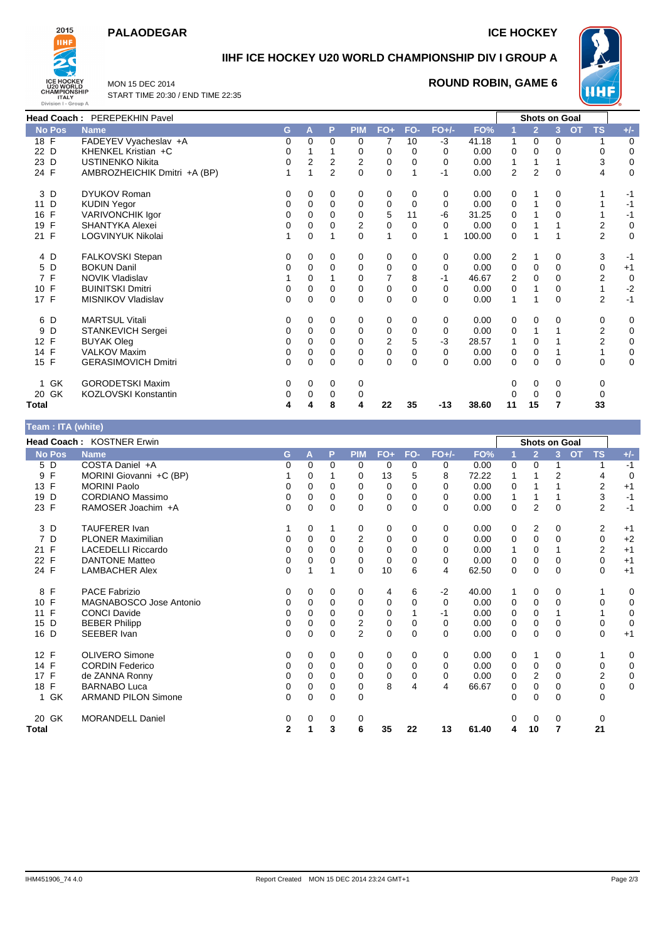## **PALAODEGAR ICE HOCKEY**



## **IIHF ICE HOCKEY U20 WORLD CHAMPIONSHIP DIV I GROUP A**

MON 15 DEC 2014 START TIME 20:30 / END TIME 22:35

### **ROUND ROBIN, GAME 6**



|               | Head Coach: PEREPEKHIN Pavel |          |          |                |                |                |             |          |        |                | <b>Shots on Goal</b> |              |                         |             |
|---------------|------------------------------|----------|----------|----------------|----------------|----------------|-------------|----------|--------|----------------|----------------------|--------------|-------------------------|-------------|
| <b>No Pos</b> | <b>Name</b>                  | G        | A        | P              | <b>PIM</b>     | $FO+$          | FO-         | $FO+/-$  | FO%    |                | $\overline{2}$       | 3            | <b>TS</b><br><b>OT</b>  | $+/-$       |
| $18$ F        | FADEYEV Vyacheslav +A        | 0        | 0        | $\mathbf 0$    | 0              | 7              | 10          | -3       | 41.18  | 1              | 0                    | 0            |                         | 0           |
| 22 D          | KHENKEL Kristian +C          | 0        |          |                | 0              | 0              | 0           | 0        | 0.00   | 0              | 0                    | 0            | 0                       | $\mathbf 0$ |
| 23 D          | <b>USTINENKO Nikita</b>      | $\Omega$ | 2        | 2              | $\overline{2}$ | 0              | 0           | 0        | 0.00   | 1              |                      |              | 3                       | $\mathbf 0$ |
| 24 F          | AMBROZHEICHIK Dmitri +A (BP) |          |          | $\overline{2}$ | 0              | $\mathbf 0$    |             | -1       | 0.00   | $\overline{2}$ | $\overline{2}$       | $\mathbf{0}$ | 4                       | 0           |
| 3 D           | <b>DYUKOV Roman</b>          | 0        | 0        | 0              | 0              | 0              | 0           | 0        | 0.00   | 0              |                      | 0            |                         | -1          |
| 11 D          | <b>KUDIN Yegor</b>           | 0        | 0        | 0              | 0              | 0              | 0           | 0        | 0.00   | 0              |                      | $\mathbf{0}$ |                         | $-1$        |
| 16 F          | VARIVONCHIK Igor             | 0        | 0        | 0              | 0              | 5              | 11          | -6       | 31.25  | 0              |                      | 0            |                         | $-1$        |
| F<br>19       | <b>SHANTYKA Alexei</b>       | 0        | 0        | 0              | 2              | $\pmb{0}$      | 0           | 0        | 0.00   | 0              |                      |              | $\overline{\mathbf{c}}$ | $\mathbf 0$ |
| 21 F          | LOGVINYUK Nikolai            |          | 0        | 1              | $\Omega$       | $\mathbf{1}$   | $\Omega$    | 1        | 100.00 | 0              |                      | 1            | $\overline{2}$          | $\mathbf 0$ |
| 4 D           | FALKOVSKI Stepan             | 0        | 0        | 0              | 0              | 0              | 0           | 0        | 0.00   | 2              |                      | 0            | 3                       | $-1$        |
| 5 D           | <b>BOKUN Danil</b>           | 0        | 0        | 0              | 0              | 0              | $\mathbf 0$ | 0        | 0.00   | 0              | $\mathbf 0$          | 0            | $\mathbf 0$             | $+1$        |
| 7 F           | <b>NOVIK Vladislav</b>       |          | 0        |                | $\Omega$       | 7              | 8           | -1       | 46.67  | 2              | $\Omega$             | 0            | $\overline{c}$          | $\mathbf 0$ |
| 10 F          | <b>BUINITSKI Dmitri</b>      | 0        | 0        | 0              | 0              | 0              | 0           | 0        | 0.00   | 0              |                      | 0            |                         | $-2$        |
| 17 F          | MISNIKOV Vladislav           | $\Omega$ | 0        | $\mathbf 0$    | $\Omega$       | $\mathbf 0$    | $\Omega$    | $\Omega$ | 0.00   | 1              |                      | 0            | $\overline{2}$          | $-1$        |
| 6 D           | <b>MARTSUL Vitali</b>        | 0        | 0        | 0              | 0              | 0              | 0           | 0        | 0.00   | 0              | 0                    | 0            | 0                       | 0           |
| 9<br>D        | STANKEVICH Sergei            | 0        | 0        | $\mathbf 0$    | 0              | $\mathbf 0$    | $\mathbf 0$ | 0        | 0.00   | 0              |                      |              | $\overline{2}$          | $\mathbf 0$ |
| 12 F          | <b>BUYAK Oleg</b>            | 0        | 0        | 0              | 0              | $\overline{2}$ | 5           | -3       | 28.57  | 1              | 0                    |              | 2                       | 0           |
| 14 F          | <b>VALKOV Maxim</b>          | 0        | 0        | 0              | 0              | 0              | 0           | 0        | 0.00   | 0              | 0                    |              |                         | 0           |
| 15 F          | <b>GERASIMOVICH Dmitri</b>   | $\Omega$ | $\Omega$ | $\Omega$       | $\Omega$       | $\overline{0}$ | $\Omega$    | $\Omega$ | 0.00   | 0              | $\Omega$             | $\Omega$     | $\Omega$                | $\mathbf 0$ |
| 1 GK          | <b>GORODETSKI Maxim</b>      | 0        | 0        | 0              | 0              |                |             |          |        |                | 0                    | 0            | 0                       |             |
| GK<br>20      | KOZLOVSKI Konstantin         | 0        | 0        | $\Omega$       | 0              |                |             |          |        |                | 0                    | 0            | 0                       |             |
| <b>Total</b>  |                              | 4        |          | 8              | 4              | 22             | 35          | -13      | 38.60  | 11             | 15                   | 7            | 33                      |             |

| Team : ITA (white)  |                            |              |          |             |                |             |          |          |       |          |                      |                |           |                |             |
|---------------------|----------------------------|--------------|----------|-------------|----------------|-------------|----------|----------|-------|----------|----------------------|----------------|-----------|----------------|-------------|
|                     | Head Coach: KOSTNER Erwin  |              |          |             |                |             |          |          |       |          | <b>Shots on Goal</b> |                |           |                |             |
| <b>No Pos</b>       | <b>Name</b>                | G            | A        | P           | <b>PIM</b>     | $FO+$       | FO-      | $FO+/-$  | FO%   |          | $\overline{2}$       | 3              | <b>OT</b> | <b>TS</b>      | $+/-$       |
| $5\overline{D}$     | COSTA Daniel +A            | 0            | 0        | $\Omega$    | 0              | 0           | 0        | 0        | 0.00  | 0        | 0                    |                |           |                | $-1$        |
| $\mathsf F$<br>9    | MORINI Giovanni +C (BP)    |              | 0        |             | $\Omega$       | 13          | 5        | 8        | 72.22 |          |                      | $\overline{2}$ |           | 4              | $\mathbf 0$ |
| 13 F                | <b>MORINI Paolo</b>        | 0            | 0        | 0           | 0              | 0           | 0        | 0        | 0.00  | 0        |                      |                |           | 2              | $+1$        |
| 19 D                | <b>CORDIANO Massimo</b>    | 0            | $\Omega$ | 0           | $\Omega$       | 0           | 0        | 0        | 0.00  | 1        |                      |                |           | 3              | $-1$        |
| 23 F                | RAMOSER Joachim +A         | 0            | $\Omega$ | $\Omega$    | $\Omega$       | 0           | $\Omega$ | 0        | 0.00  | 0        | $\overline{2}$       | $\Omega$       |           | $\overline{2}$ | $-1$        |
| 3D                  | <b>TAUFERER Ivan</b>       |              | 0        | 1           | 0              | 0           | 0        | 0        | 0.00  | 0        | 2                    | 0              |           | $\overline{2}$ | $+1$        |
| $\overline{7}$<br>D | <b>PLONER Maximilian</b>   | 0            | $\Omega$ | $\Omega$    | $\overline{2}$ | 0           | 0        | $\Omega$ | 0.00  | 0        | 0                    | 0              |           | 0              | $+2$        |
| $\mathsf{F}$<br>21  | <b>LACEDELLI Riccardo</b>  | 0            | 0        | $\Omega$    | 0              | 0           | 0        | 0        | 0.00  |          | 0                    |                |           | $\overline{2}$ | $+1$        |
| F<br>22             | <b>DANTONE Matteo</b>      | 0            | 0        | 0           | $\Omega$       | 0           | 0        | 0        | 0.00  | 0        | 0                    | $\Omega$       |           | 0              | $+1$        |
| 24 F                | <b>LAMBACHER Alex</b>      | 0            |          | 1           | $\Omega$       | 10          | 6        | 4        | 62.50 | 0        | $\Omega$             | $\Omega$       |           | $\Omega$       | $+1$        |
| F<br>8              | <b>PACE Fabrizio</b>       | 0            | 0        | 0           | 0              | 4           | 6        | $-2$     | 40.00 |          | 0                    | 0              |           |                | 0           |
| 10 F                | MAGNABOSCO Jose Antonio    | 0            | 0        | $\mathbf 0$ | 0              | 0           | 0        | 0        | 0.00  | 0        | 0                    | $\Omega$       |           | 0              | $\mathbf 0$ |
| F<br>11             | <b>CONCI Davide</b>        | 0            | 0        | $\Omega$    | 0              | 0           |          | -1       | 0.00  | 0        | 0                    |                |           |                | $\mathbf 0$ |
| D<br>15             | <b>BEBER Philipp</b>       | 0            | 0        | 0           | 2              | 0           | 0        | 0        | 0.00  | 0        | 0                    | $\Omega$       |           | $\mathbf 0$    | $\mathbf 0$ |
| 16 D                | SEEBER Ivan                | $\Omega$     | $\Omega$ | $\Omega$    | $\overline{2}$ | $\mathbf 0$ | $\Omega$ | 0        | 0.00  | 0        | $\Omega$             | $\Omega$       |           | $\Omega$       | $+1$        |
| 12 F                | <b>OLIVERO Simone</b>      | 0            | $\Omega$ | $\Omega$    | 0              | 0           | $\Omega$ | 0        | 0.00  | 0        |                      | $\Omega$       |           |                | 0           |
| 14 F                | <b>CORDIN Federico</b>     | 0            | 0        | $\Omega$    | 0              | 0           | 0        | $\Omega$ | 0.00  | 0        | 0                    | $\Omega$       |           | 0              | $\mathbf 0$ |
| 17 F                | de ZANNA Ronny             | 0            | $\Omega$ | $\Omega$    | 0              | $\mathbf 0$ | 0        | 0        | 0.00  | $\Omega$ | $\overline{2}$       | 0              |           | $\overline{2}$ | $\mathbf 0$ |
| 18 F                | <b>BARNABO Luca</b>        | 0            | 0        | 0           | $\Omega$       | 8           | 4        | 4        | 66.67 | 0        | 0                    | 0              |           | 0              | 0           |
| 1 GK                | <b>ARMAND PILON Simone</b> | 0            | $\Omega$ | $\mathbf 0$ | 0              |             |          |          |       | 0        | $\Omega$             | $\Omega$       |           | $\mathbf 0$    |             |
| 20 GK               | <b>MORANDELL Daniel</b>    | 0            | 0        | 0           | 0              |             |          |          |       | 0        | 0                    | 0              |           | 0              |             |
| Total               |                            | $\mathbf{2}$ |          | 3           | 6              | 35          | 22       | 13       | 61.40 | 4        | 10                   | 7              |           | 21             |             |